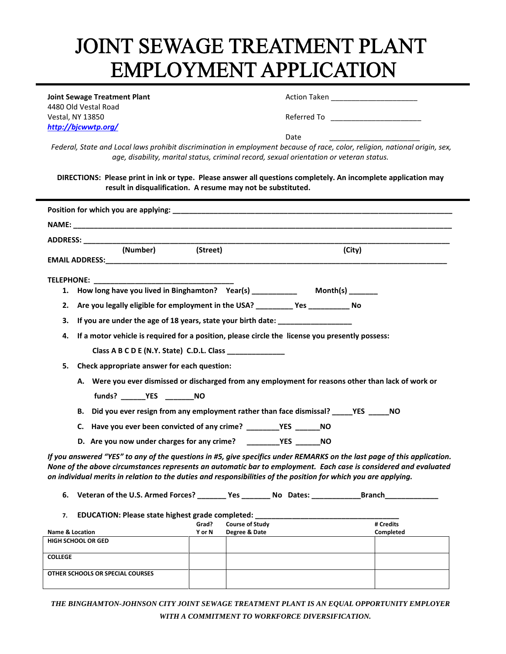## JOINT SEWAGE TREATMENT PLANT **EMPLOYMENT APPLICATION**

1 4480 Old Vestal Road Vestal, NY 13850 Referred To \_\_\_\_\_\_\_\_\_\_\_\_\_\_\_\_\_\_\_\_\_\_ *<http://bjcwwtp.org/>*

**Joint Sewage Treatment Plant** Action Taken **Action Taken Action Taken Action 1** 

Date \_\_\_\_\_\_\_\_\_\_\_\_\_\_\_\_\_\_\_\_\_\_

*Federal, State and Local laws prohibit discrimination in employment because of race, color, religion, national origin, sex, age, disability, marital status, criminal record, sexual orientation or veteran status.*

**DIRECTIONS: Please print in ink or type. Please answer all questions completely. An incomplete application may result in disqualification. A resume may not be substituted.**

|                                                                                                  |                                        |                                                                                                                                                    | (City)                                                                                                                                                                                                                                                                                                                                                                                                                                                                                                                                                                                                                                                                                                                                                                                                                                                                                                                                                                                                                                                                                                                         |
|--------------------------------------------------------------------------------------------------|----------------------------------------|----------------------------------------------------------------------------------------------------------------------------------------------------|--------------------------------------------------------------------------------------------------------------------------------------------------------------------------------------------------------------------------------------------------------------------------------------------------------------------------------------------------------------------------------------------------------------------------------------------------------------------------------------------------------------------------------------------------------------------------------------------------------------------------------------------------------------------------------------------------------------------------------------------------------------------------------------------------------------------------------------------------------------------------------------------------------------------------------------------------------------------------------------------------------------------------------------------------------------------------------------------------------------------------------|
|                                                                                                  |                                        |                                                                                                                                                    |                                                                                                                                                                                                                                                                                                                                                                                                                                                                                                                                                                                                                                                                                                                                                                                                                                                                                                                                                                                                                                                                                                                                |
|                                                                                                  |                                        |                                                                                                                                                    |                                                                                                                                                                                                                                                                                                                                                                                                                                                                                                                                                                                                                                                                                                                                                                                                                                                                                                                                                                                                                                                                                                                                |
|                                                                                                  |                                        |                                                                                                                                                    |                                                                                                                                                                                                                                                                                                                                                                                                                                                                                                                                                                                                                                                                                                                                                                                                                                                                                                                                                                                                                                                                                                                                |
|                                                                                                  |                                        |                                                                                                                                                    |                                                                                                                                                                                                                                                                                                                                                                                                                                                                                                                                                                                                                                                                                                                                                                                                                                                                                                                                                                                                                                                                                                                                |
|                                                                                                  |                                        |                                                                                                                                                    |                                                                                                                                                                                                                                                                                                                                                                                                                                                                                                                                                                                                                                                                                                                                                                                                                                                                                                                                                                                                                                                                                                                                |
|                                                                                                  |                                        |                                                                                                                                                    |                                                                                                                                                                                                                                                                                                                                                                                                                                                                                                                                                                                                                                                                                                                                                                                                                                                                                                                                                                                                                                                                                                                                |
|                                                                                                  |                                        |                                                                                                                                                    |                                                                                                                                                                                                                                                                                                                                                                                                                                                                                                                                                                                                                                                                                                                                                                                                                                                                                                                                                                                                                                                                                                                                |
|                                                                                                  |                                        |                                                                                                                                                    |                                                                                                                                                                                                                                                                                                                                                                                                                                                                                                                                                                                                                                                                                                                                                                                                                                                                                                                                                                                                                                                                                                                                |
|                                                                                                  |                                        |                                                                                                                                                    |                                                                                                                                                                                                                                                                                                                                                                                                                                                                                                                                                                                                                                                                                                                                                                                                                                                                                                                                                                                                                                                                                                                                |
|                                                                                                  |                                        |                                                                                                                                                    |                                                                                                                                                                                                                                                                                                                                                                                                                                                                                                                                                                                                                                                                                                                                                                                                                                                                                                                                                                                                                                                                                                                                |
|                                                                                                  |                                        |                                                                                                                                                    |                                                                                                                                                                                                                                                                                                                                                                                                                                                                                                                                                                                                                                                                                                                                                                                                                                                                                                                                                                                                                                                                                                                                |
|                                                                                                  |                                        |                                                                                                                                                    |                                                                                                                                                                                                                                                                                                                                                                                                                                                                                                                                                                                                                                                                                                                                                                                                                                                                                                                                                                                                                                                                                                                                |
|                                                                                                  |                                        |                                                                                                                                                    |                                                                                                                                                                                                                                                                                                                                                                                                                                                                                                                                                                                                                                                                                                                                                                                                                                                                                                                                                                                                                                                                                                                                |
|                                                                                                  |                                        |                                                                                                                                                    |                                                                                                                                                                                                                                                                                                                                                                                                                                                                                                                                                                                                                                                                                                                                                                                                                                                                                                                                                                                                                                                                                                                                |
|                                                                                                  |                                        |                                                                                                                                                    |                                                                                                                                                                                                                                                                                                                                                                                                                                                                                                                                                                                                                                                                                                                                                                                                                                                                                                                                                                                                                                                                                                                                |
|                                                                                                  |                                        |                                                                                                                                                    |                                                                                                                                                                                                                                                                                                                                                                                                                                                                                                                                                                                                                                                                                                                                                                                                                                                                                                                                                                                                                                                                                                                                |
|                                                                                                  |                                        |                                                                                                                                                    |                                                                                                                                                                                                                                                                                                                                                                                                                                                                                                                                                                                                                                                                                                                                                                                                                                                                                                                                                                                                                                                                                                                                |
|                                                                                                  |                                        |                                                                                                                                                    |                                                                                                                                                                                                                                                                                                                                                                                                                                                                                                                                                                                                                                                                                                                                                                                                                                                                                                                                                                                                                                                                                                                                |
|                                                                                                  |                                        |                                                                                                                                                    | # Credits                                                                                                                                                                                                                                                                                                                                                                                                                                                                                                                                                                                                                                                                                                                                                                                                                                                                                                                                                                                                                                                                                                                      |
| Y or N                                                                                           |                                        |                                                                                                                                                    | Completed                                                                                                                                                                                                                                                                                                                                                                                                                                                                                                                                                                                                                                                                                                                                                                                                                                                                                                                                                                                                                                                                                                                      |
|                                                                                                  |                                        |                                                                                                                                                    |                                                                                                                                                                                                                                                                                                                                                                                                                                                                                                                                                                                                                                                                                                                                                                                                                                                                                                                                                                                                                                                                                                                                |
|                                                                                                  |                                        |                                                                                                                                                    |                                                                                                                                                                                                                                                                                                                                                                                                                                                                                                                                                                                                                                                                                                                                                                                                                                                                                                                                                                                                                                                                                                                                |
|                                                                                                  |                                        |                                                                                                                                                    |                                                                                                                                                                                                                                                                                                                                                                                                                                                                                                                                                                                                                                                                                                                                                                                                                                                                                                                                                                                                                                                                                                                                |
|                                                                                                  |                                        |                                                                                                                                                    |                                                                                                                                                                                                                                                                                                                                                                                                                                                                                                                                                                                                                                                                                                                                                                                                                                                                                                                                                                                                                                                                                                                                |
| (Number)<br><b>Name &amp; Location</b><br>HIGH SCHOOL OR GED<br>OTHER SCHOOLS OR SPECIAL COURSES | ADDRESS: ADDRESS:<br>(Street)<br>Grad? | Class A B C D E (N.Y. State) C.D.L. Class ______________<br>Check appropriate answer for each question:<br><b>Course of Study</b><br>Degree & Date | 1. How long have you lived in Binghamton? Year(s) _____________ Month(s) _______<br>Are you legally eligible for employment in the USA? __________ Yes __________ No<br>If you are under the age of 18 years, state your birth date: __________________<br>If a motor vehicle is required for a position, please circle the license you presently possess:<br>A. Were you ever dismissed or discharged from any employment for reasons other than lack of work or<br>B. Did you ever resign from any employment rather than face dismissal? _______YES _______NO<br>If you answered "YES" to any of the questions in #5, give specifics under REMARKS on the last page of this application.<br>None of the above circumstances represents an automatic bar to employment. Each case is considered and evaluated<br>on individual merits in relation to the duties and responsibilities of the position for which you are applying.<br>6. Veteran of the U.S. Armed Forces? _________ Yes ________ No Dates: ______________Branch__________<br>EDUCATION: Please state highest grade completed: _______________________________ |

*THE BINGHAMTON-JOHNSON CITY JOINT SEWAGE TREATMENT PLANT IS AN EQUAL OPPORTUNITY EMPLOYER WITH A COMMITMENT TO WORKFORCE DIVERSIFICATION.*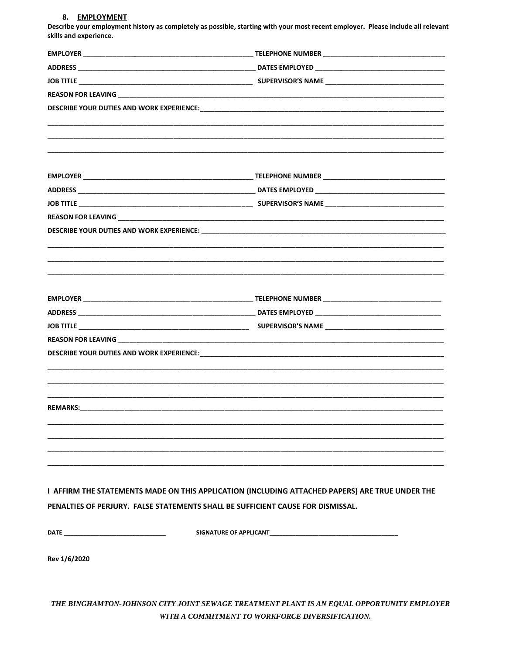## 8. EMPLOYMENT

Describe your employment history as completely as possible, starting with your most recent employer. Please include all relevant skills and experience.

|              | I AFFIRM THE STATEMENTS MADE ON THIS APPLICATION (INCLUDING ATTACHED PAPERS) ARE TRUE UNDER THE |  |  |
|--------------|-------------------------------------------------------------------------------------------------|--|--|
|              | PENALTIES OF PERJURY. FALSE STATEMENTS SHALL BE SUFFICIENT CAUSE FOR DISMISSAL.                 |  |  |
|              |                                                                                                 |  |  |
|              |                                                                                                 |  |  |
|              |                                                                                                 |  |  |
| Rev 1/6/2020 |                                                                                                 |  |  |
|              |                                                                                                 |  |  |
|              |                                                                                                 |  |  |

THE BINGHAMTON-JOHNSON CITY JOINT SEWAGE TREATMENT PLANT IS AN EQUAL OPPORTUNITY EMPLOYER WITH A COMMITMENT TO WORKFORCE DIVERSIFICATION.